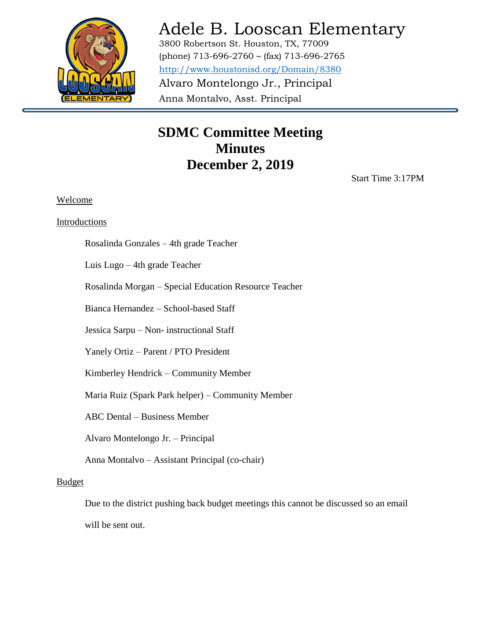

# Adele B. Looscan Elementary

3800 Robertson St. Houston, TX, 77009 (phone) 713-696-2760 ~ (fax) 713-696-2765 <http://www.houstonisd.org/Domain/8380> Alvaro Montelongo Jr., Principal Anna Montalvo, Asst. Principal

### **SDMC Committee Meeting Minutes December 2, 2019**

Start Time 3:17PM

### Welcome

### Introductions

Rosalinda Gonzales – 4th grade Teacher

Luis Lugo – 4th grade Teacher

Rosalinda Morgan – Special Education Resource Teacher

Anna Montalvo

Bianca Hernandez – School-based Staff

Jessica Sarpu – Non- instructional Staff

Yanely Ortiz – Parent / PTO President

Kimberley Hendrick – Community Member

Maria Ruiz (Spark Park helper) – Community Member

ABC Dental – Business Member

Alvaro Montelongo Jr. – Principal

Anna Montalvo – Assistant Principal (co-chair)

#### Budget

Due to the district pushing back budget meetings this cannot be discussed so an email will be sent out.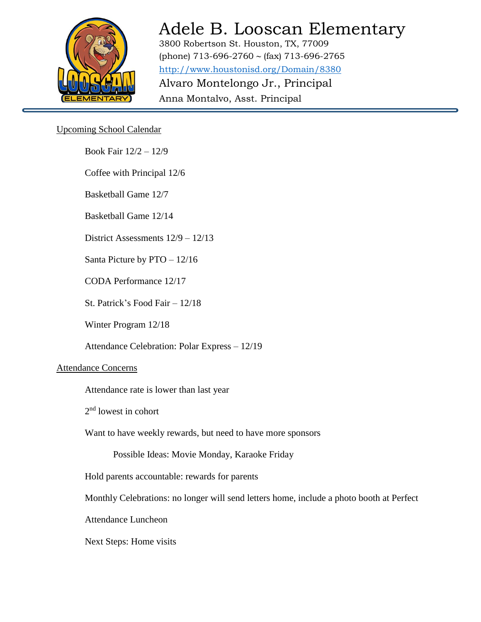

# Adele B. Looscan Elementary

3800 Robertson St. Houston, TX, 77009 (phone) 713-696-2760 ~ (fax) 713-696-2765 <http://www.houstonisd.org/Domain/8380> Alvaro Montelongo Jr., Principal Anna Montalvo, Asst. Principal

### Upcoming School Calendar

Book Fair 12/2 – 12/9

Coffee with Principal 12/6

Basketball Game 12/7

Basketball Game 12/14

District Assessments 12/9 – 12/13

Santa Picture by PTO – 12/16

CODA Performance 12/17

St. Patrick's Food Fair – 12/18

Winter Program 12/18

Attendance Celebration: Polar Express – 12/19

Anna Montalvo

### Attendance Concerns

Attendance rate is lower than last year

2<sup>nd</sup> lowest in cohort

Want to have weekly rewards, but need to have more sponsors

Possible Ideas: Movie Monday, Karaoke Friday

Hold parents accountable: rewards for parents

Monthly Celebrations: no longer will send letters home, include a photo booth at Perfect

Attendance Luncheon

Next Steps: Home visits